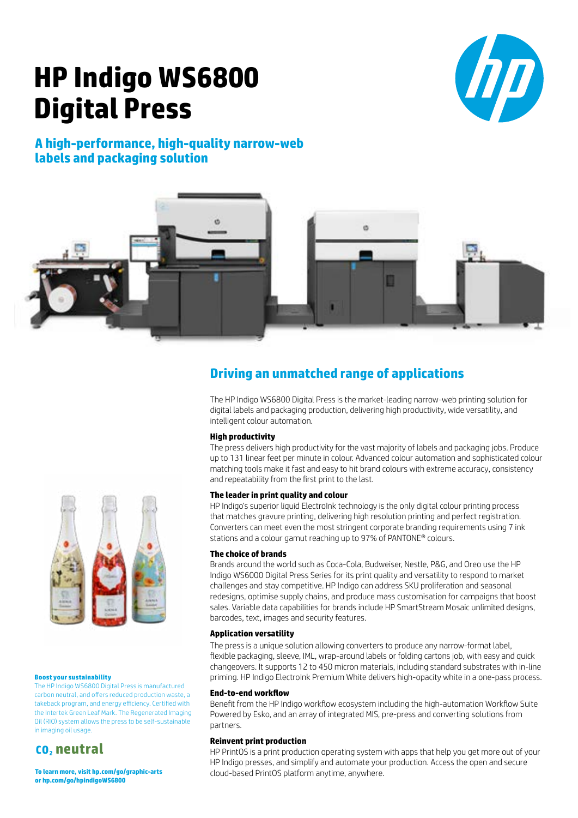# **HP Indigo WS6800 Digital Press**



### **A high-performance, high-quality narrow-web labels and packaging solution**



### **Driving an unmatched range of applications**

The HP Indigo WS6800 Digital Press is the market-leading narrow-web printing solution for digital labels and packaging production, delivering high productivity, wide versatility, and intelligent colour automation.

### **High productivity**

The press delivers high productivity for the vast majority of labels and packaging jobs. Produce up to 131 linear feet per minute in colour. Advanced colour automation and sophisticated colour matching tools make it fast and easy to hit brand colours with extreme accuracy, consistency and repeatability from the first print to the last.

### **The leader in print quality and colour**

HP Indigo's superior liquid ElectroInk technology is the only digital colour printing process that matches gravure printing, delivering high resolution printing and perfect registration. Converters can meet even the most stringent corporate branding requirements using 7 ink stations and a colour gamut reaching up to 97% of PANTONE® colours.

### **The choice of brands**

Brands around the world such as Coca-Cola, Budweiser, Nestle, P&G, and Oreo use the HP Indigo WS6000 Digital Press Series for its print quality and versatility to respond to market challenges and stay competitive. HP Indigo can address SKU proliferation and seasonal redesigns, optimise supply chains, and produce mass customisation for campaigns that boost sales. Variable data capabilities for brands include HP SmartStream Mosaic unlimited designs, barcodes, text, images and security features.

### **Application versatility**

The press is a unique solution allowing converters to produce any narrow-format label, flexible packaging, sleeve, IML, wrap-around labels or folding cartons job, with easy and quick changeovers. It supports 12 to 450 micron materials, including standard substrates with in-line priming. HP Indigo ElectroInk Premium White delivers high-opacity white in a one-pass process.

### **End-to-end workflow**

Benefit from the HP Indigo workflow ecosystem including the high-automation Workflow Suite Powered by Esko, and an array of integrated MIS, pre-press and converting solutions from partners.

### **Reinvent print production**

HP PrintOS is a print production operating system with apps that help you get more out of your HP Indigo presses, and simplify and automate your production. Access the open and secure cloud-based PrintOS platform anytime, anywhere.



#### **Boost your sustainability**

The HP Indigo WS6800 Digital Press is manufactured carbon neutral, and offers reduced production waste, a takeback program, and energy efficiency. Certified with the Intertek Green Leaf Mark. The Regenerated Imaging Oil (RIO) system allows the press to be self-sustainable in imaging oil usage.

### **CO2 neutral**

**To learn more, visit [hp.com/go/graphic-arts](http://www8.hp.com/il/en/commercial-printers/graphic-arts.html) or [hp.com/go/hpindigoWS6800](http://www8.hp.com/il/en/commercial-printers/indigo-presses/ws6800.html?jumpid=va_r10931_il/he/ga/pps/pl_ot_ob_ds_pd/indigo-ws6800_cc/dt)**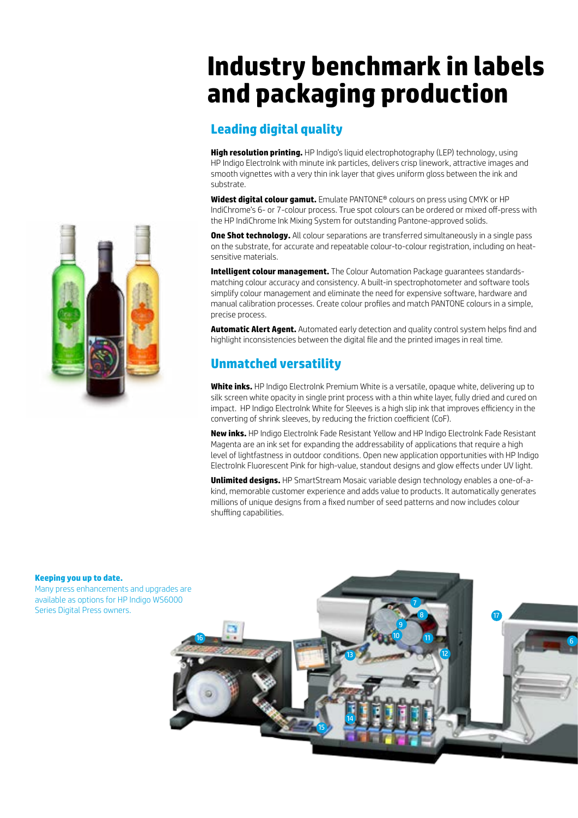## **Industry benchmark in labels and packaging production**

### **Leading digital quality**

**High resolution printing.** HP Indigo's liquid electrophotography (LEP) technology, using HP Indigo ElectroInk with minute ink particles, delivers crisp linework, attractive images and smooth vignettes with a very thin ink layer that gives uniform gloss between the ink and substrate.

**Widest digital colour gamut.** Emulate PANTONE® colours on press using CMYK or HP IndiChrome's 6- or 7-colour process. True spot colours can be ordered or mixed off-press with the HP IndiChrome Ink Mixing System for outstanding Pantone-approved solids.

**One Shot technology.** All colour separations are transferred simultaneously in a single pass on the substrate, for accurate and repeatable colour-to-colour registration, including on heatsensitive materials.

**Intelligent colour management.** The Colour Automation Package guarantees standardsmatching colour accuracy and consistency. A built-in spectrophotometer and software tools simplify colour management and eliminate the need for expensive software, hardware and manual calibration processes. Create colour profiles and match PANTONE colours in a simple, precise process.

**Automatic Alert Agent.** Automated early detection and quality control system helps find and highlight inconsistencies between the digital file and the printed images in real time.

### **Unmatched versatility**

**White inks.** HP Indigo ElectroInk Premium White is a versatile, opaque white, delivering up to silk screen white opacity in single print process with a thin white layer, fully dried and cured on impact. HP Indigo ElectroInk White for Sleeves is a high slip ink that improves efficiency in the converting of shrink sleeves, by reducing the friction coefficient (CoF).

**New inks.** HP Indigo ElectroInk Fade Resistant Yellow and HP Indigo ElectroInk Fade Resistant Magenta are an ink set for expanding the addressability of applications that require a high level of lightfastness in outdoor conditions. Open new application opportunities with HP Indigo ElectroInk Fluorescent Pink for high-value, standout designs and glow effects under UV light.

**Unlimited designs.** HP SmartStream Mosaic variable design technology enables a one-of-akind, memorable customer experience and adds value to products. It automatically generates millions of unique designs from a fixed number of seed patterns and now includes colour shuffling capabilities.





#### **Keeping you up to date.**

Many press enhancements and upgrades are available as options for HP Indigo WS6000 Series Digital Press owners.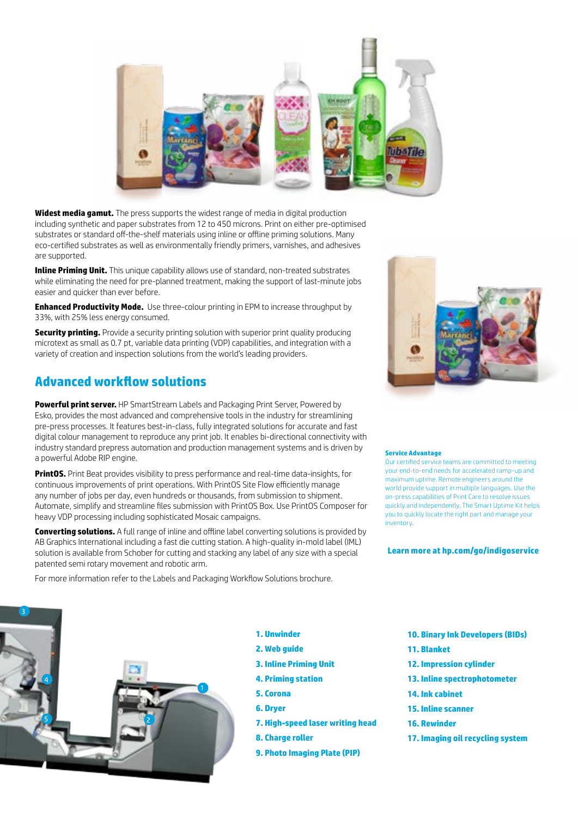

**Widest media gamut.** The press supports the widest range of media in digital production including synthetic and paper substrates from 12 to 450 microns. Print on either pre-optimised substrates or standard off-the-shelf materials using inline or offline priming solutions. Many eco-certified substrates as well as environmentally friendly primers, varnishes, and adhesives are supported.

**Inline Priming Unit.** This unique capability allows use of standard, non-treated substrates while eliminating the need for pre-planned treatment, making the support of last-minute jobs easier and quicker than ever before.

**Enhanced Productivity Mode.** Use three-colour printing in EPM to increase throughput by 33%, with 25% less energy consumed.

**Security printing.** Provide a security printing solution with superior print quality producing microtext as small as 0.7 pt, variable data printing (VDP) capabilities, and integration with a variety of creation and inspection solutions from the world's leading providers.

### **Advanced workflow solutions**

**Powerful print server.** HP SmartStream Labels and Packaging Print Server, Powered by Esko, provides the most advanced and comprehensive tools in the industry for streamlining pre-press processes. It features best-in-class, fully integrated solutions for accurate and fast digital colour management to reproduce any print job. It enables bi-directional connectivity with industry standard prepress automation and production management systems and is driven by a powerful Adobe RIP engine.

**PrintOS.** Print Beat provides visibility to press performance and real-time data-insights, for continuous improvements of print operations. With PrintOS Site Flow efficiently manage any number of jobs per day, even hundreds or thousands, from submission to shipment. Automate, simplify and streamline files submission with PrintOS Box. Use PrintOS Composer for heavy VDP processing including sophisticated Mosaic campaigns.

**Converting solutions.** A full range of inline and offline label converting solutions is provided by AB Graphics International including a fast die cutting station. A high-quality in-mold label (IML) solution is available from Schober for cutting and stacking any label of any size with a special patented semi rotary movement and robotic arm.

For more information refer to the Labels and Packaging Workflow Solutions brochure.



#### **Service Advantage**

Our certified service teams are committed to meeting your end-to-end needs for accelerated ramp-up and maximum uptime. Remote engineers around the world provide support in multiple languages. Use the on-press capabilities of Print Care to resolve issues quickly and independently. The Smart Uptime Kit helps you to quickly locate the right part and manage your inventory.

### **Learn more at [hp.com/go/indigoservice](http://www8.hp.com/us/en/commercial-printers/indigo-presses/services.html)**



- **1. Unwinder**
- **2. Web guide**
- **3. Inline Priming Unit**
- **4. Priming station**
- **5. Corona**
- **6. Dryer**
- **7. High-speed laser writing head**
- **8. Charge roller**
- **9. Photo Imaging Plate (PIP)**
- **10. Binary Ink Developers (BIDs)**
- **11. Blanket**
- **12. Impression cylinder**
- **13. Inline spectrophotometer**
- **14. Ink cabinet**
- **15. Inline scanner**
- **16. Rewinder**
- **17. Imaging oil recycling system**